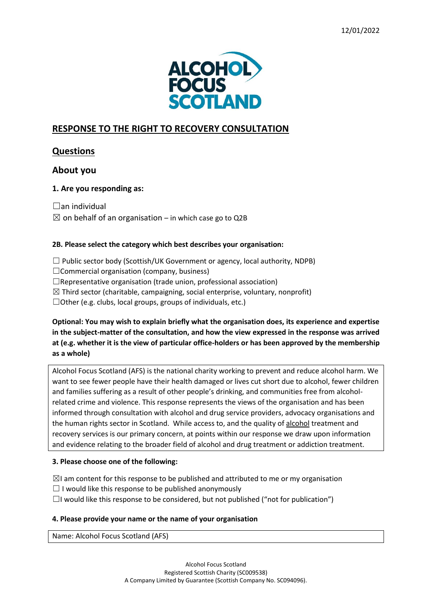

# **RESPONSE TO THE RIGHT TO RECOVERY CONSULTATION**

## **Questions**

## **About you**

## **1. Are you responding as:**

 $\Box$ an individual

 $\boxtimes$  on behalf of an organisation – in which case go to Q2B

## **2B. Please select the category which best describes your organisation:**

- $\Box$  Public sector body (Scottish/UK Government or agency, local authority, NDPB)
- $\Box$ Commercial organisation (company, business)
- $\Box$ Representative organisation (trade union, professional association)
- $\boxtimes$  Third sector (charitable, campaigning, social enterprise, voluntary, nonprofit)

 $\Box$ Other (e.g. clubs, local groups, groups of individuals, etc.)

**Optional: You may wish to explain briefly what the organisation does, its experience and expertise in the subject-matter of the consultation, and how the view expressed in the response was arrived at (e.g. whether it is the view of particular office-holders or has been approved by the membership as a whole)**

Alcohol Focus Scotland (AFS) is the national charity working to prevent and reduce alcohol harm. We want to see fewer people have their health damaged or lives cut short due to alcohol, fewer children and families suffering as a result of other people's drinking, and communities free from alcoholrelated crime and violence. This response represents the views of the organisation and has been informed through consultation with alcohol and drug service providers, advocacy organisations and the human rights sector in Scotland. While access to, and the quality of alcohol treatment and recovery services is our primary concern, at points within our response we draw upon information and evidence relating to the broader field of alcohol and drug treatment or addiction treatment.

## **3. Please choose one of the following:**

 $\boxtimes$ I am content for this response to be published and attributed to me or my organisation

- $\Box$  I would like this response to be published anonymously
- $\Box$ I would like this response to be considered, but not published ("not for publication")

## **4. Please provide your name or the name of your organisation**

Name: Alcohol Focus Scotland (AFS)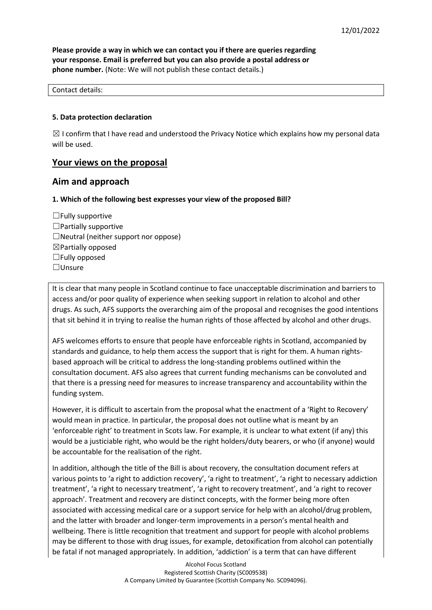**Please provide a way in which we can contact you if there are queries regarding your response. Email is preferred but you can also provide a postal address or phone number.** (Note: We will not publish these contact details.)

#### Contact details:

#### **5. Data protection declaration**

 $\boxtimes$  I confirm that I have read and understood the Privacy Notice which explains how my personal data will be used.

## **Your views on the proposal**

## **Aim and approach**

#### **1. Which of the following best expresses your view of the proposed Bill?**

 $\Box$  Fully supportive  $\Box$ Partially supportive  $\Box$ Neutral (neither support nor oppose)  $\boxtimes$  Partially opposed  $\Box$ Fully opposed ☐Unsure

It is clear that many people in Scotland continue to face unacceptable discrimination and barriers to access and/or poor quality of experience when seeking support in relation to alcohol and other drugs. As such, AFS supports the overarching aim of the proposal and recognises the good intentions that sit behind it in trying to realise the human rights of those affected by alcohol and other drugs.

AFS welcomes efforts to ensure that people have enforceable rights in Scotland, accompanied by standards and guidance, to help them access the support that is right for them. A human rightsbased approach will be critical to address the long-standing problems outlined within the consultation document. AFS also agrees that current funding mechanisms can be convoluted and that there is a pressing need for measures to increase transparency and accountability within the funding system.

However, it is difficult to ascertain from the proposal what the enactment of a 'Right to Recovery' would mean in practice. In particular, the proposal does not outline what is meant by an 'enforceable right' to treatment in Scots law. For example, it is unclear to what extent (if any) this would be a justiciable right, who would be the right holders/duty bearers, or who (if anyone) would be accountable for the realisation of the right.

In addition, although the title of the Bill is about recovery, the consultation document refers at various points to 'a right to addiction recovery', 'a right to treatment', 'a right to necessary addiction treatment', 'a right to necessary treatment', 'a right to recovery treatment', and 'a right to recover approach'. Treatment and recovery are distinct concepts, with the former being more often associated with accessing medical care or a support service for help with an alcohol/drug problem, and the latter with broader and longer-term improvements in a person's mental health and wellbeing. There is little recognition that treatment and support for people with alcohol problems may be different to those with drug issues, for example, detoxification from alcohol can potentially be fatal if not managed appropriately. In addition, 'addiction' is a term that can have different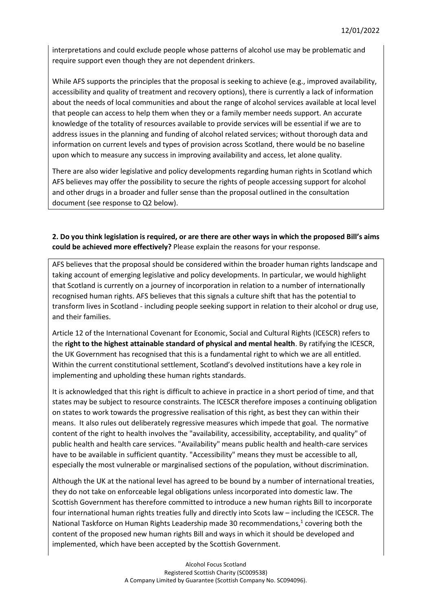interpretations and could exclude people whose patterns of alcohol use may be problematic and require support even though they are not dependent drinkers.

While AFS supports the principles that the proposal is seeking to achieve (e.g., improved availability, accessibility and quality of treatment and recovery options), there is currently a lack of information about the needs of local communities and about the range of alcohol services available at local level that people can access to help them when they or a family member needs support. An accurate knowledge of the totality of resources available to provide services will be essential if we are to address issues in the planning and funding of alcohol related services; without thorough data and information on current levels and types of provision across Scotland, there would be no baseline upon which to measure any success in improving availability and access, let alone quality.

There are also wider legislative and policy developments regarding human rights in Scotland which AFS believes may offer the possibility to secure the rights of people accessing support for alcohol and other drugs in a broader and fuller sense than the proposal outlined in the consultation document (see response to Q2 below).

## **2. Do you think legislation is required, or are there are other ways in which the proposed Bill's aims could be achieved more effectively?** Please explain the reasons for your response.

AFS believes that the proposal should be considered within the broader human rights landscape and taking account of emerging legislative and policy developments. In particular, we would highlight that Scotland is currently on a journey of incorporation in relation to a number of internationally recognised human rights. AFS believes that this signals a culture shift that has the potential to transform lives in Scotland - including people seeking support in relation to their alcohol or drug use, and their families.

Article 12 of the International Covenant for Economic, Social and Cultural Rights (ICESCR) refers to the **right to the highest attainable standard of physical and mental health**. By ratifying the ICESCR, the UK Government has recognised that this is a fundamental right to which we are all entitled. Within the current constitutional settlement, Scotland's devolved institutions have a key role in implementing and upholding these human rights standards.

It is acknowledged that this right is difficult to achieve in practice in a short period of time, and that states may be subject to resource constraints. The ICESCR therefore imposes a continuing obligation on states to work towards the progressive realisation of this right, as best they can within their means. It also rules out deliberately regressive measures which impede that goal. The normative content of the right to health involves the "availability, accessibility, acceptability, and quality" of public health and health care services. "Availability" means public health and health-care services have to be available in sufficient quantity. "Accessibility" means they must be accessible to all, especially the most vulnerable or marginalised sections of the population, without discrimination.

Although the UK at the national level has agreed to be bound by a number of international treaties, they do not take on enforceable legal obligations unless incorporated into domestic law. The Scottish Government has therefore committed to introduce a new human rights Bill to incorporate four international human rights treaties fully and directly into Scots law – including the ICESCR. The National Taskforce on Human Rights Leadership made 30 recommendations,<sup>1</sup> covering both the content of the proposed new human rights Bill and ways in which it should be developed and implemented, which have been accepted by the Scottish Government.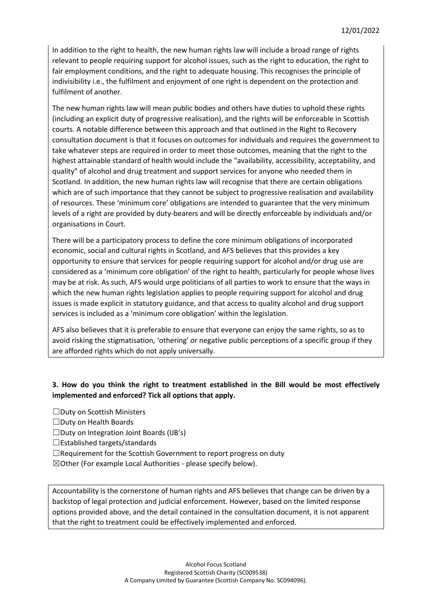In addition to the right to health, the new human rights law will include a broad range of rights relevant to people requiring support for alcohol issues, such as the right to education, the right to fair employment conditions, and the right to adequate housing. This recognises the principle of indivisibility i.e., the fulfilment and enjoyment of one right is dependent on the protection and fulfilment of another.

The new human rights law will mean public bodies and others have duties to uphold these rights (including an explicit duty of progressive realisation), and the rights will be enforceable in Scottish courts. A notable difference between this approach and that outlined in the Right to Recovery consultation document is that it focuses on outcomes for individuals and requires the government to take whatever steps are required in order to meet those outcomes, meaning that the right to the highest attainable standard of health would include the "availability, accessibility, acceptability, and quality" of alcohol and drug treatment and support services for anyone who needed them in Scotland. In addition, the new human rights law will recognise that there are certain obligations which are of such importance that they cannot be subject to progressive realisation and availability of resources. These 'minimum core' obligations are intended to guarantee that the very minimum levels of a right are provided by duty-bearers and will be directly enforceable by individuals and/or organisations in Court.

There will be a participatory process to define the core minimum obligations of incorporated economic, social and cultural rights in Scotland, and AFS believes that this provides a key opportunity to ensure that services for people requiring support for alcohol and/or drug use are considered as a 'minimum core obligation' of the right to health, particularly for people whose lives may be at risk. As such, AFS would urge politicians of all parties to work to ensure that the ways in which the new human rights legislation applies to people requiring support for alcohol and drug issues is made explicit in statutory guidance, and that access to quality alcohol and drug support services is included as a 'minimum core obligation' within the legislation.

AFS also believes that it is preferable to ensure that everyone can enjoy the same rights, so as to avoid risking the stigmatisation, 'othering' or negative public perceptions of a specific group if they are afforded rights which do not apply universally.

## **3. How do you think the right to treatment established in the Bill would be most effectively implemented and enforced? Tick all options that apply.**

- ☐Duty on Scottish Ministers
- ☐Duty on Health Boards
- $\Box$ Duty on Integration Joint Boards (IJB's)
- ☐Established targets/standards
- $\Box$ Requirement for the Scottish Government to report progress on duty
- $\boxtimes$ Other (For example Local Authorities please specify below).

Accountability is the cornerstone of human rights and AFS believes that change can be driven by a backstop of legal protection and judicial enforcement. However, based on the limited response options provided above, and the detail contained in the consultation document, it is not apparent that the right to treatment could be effectively implemented and enforced.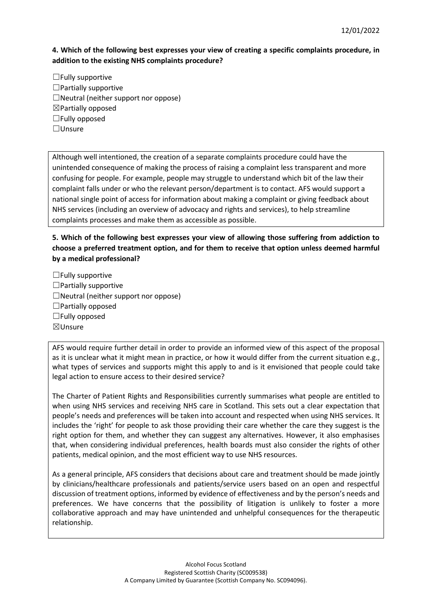**4. Which of the following best expresses your view of creating a specific complaints procedure, in addition to the existing NHS complaints procedure?**

☐Fully supportive  $\Box$ Partially supportive  $\Box$ Neutral (neither support nor oppose) ☒Partially opposed ☐Fully opposed ☐Unsure

Although well intentioned, the creation of a separate complaints procedure could have the unintended consequence of making the process of raising a complaint less transparent and more confusing for people. For example, people may struggle to understand which bit of the law their complaint falls under or who the relevant person/department is to contact. AFS would support a national single point of access for information about making a complaint or giving feedback about NHS services (including an overview of advocacy and rights and services), to help streamline complaints processes and make them as accessible as possible.

**5. Which of the following best expresses your view of allowing those suffering from addiction to choose a preferred treatment option, and for them to receive that option unless deemed harmful by a medical professional?**

 $\Box$  Fully supportive

- $\Box$ Partially supportive
- $\Box$ Neutral (neither support nor oppose)

 $\Box$ Partially opposed

- $\Box$ Fully opposed
- ☒Unsure

AFS would require further detail in order to provide an informed view of this aspect of the proposal as it is unclear what it might mean in practice, or how it would differ from the current situation e.g., what types of services and supports might this apply to and is it envisioned that people could take legal action to ensure access to their desired service?

The Charter of Patient Rights and Responsibilities currently summarises what people are entitled to when using NHS services and receiving NHS care in Scotland. This sets out a clear expectation that people's needs and preferences will be taken into account and respected when using NHS services. It includes the 'right' for people to ask those providing their care whether the care they suggest is the right option for them, and whether they can suggest any alternatives. However, it also emphasises that, when considering individual preferences, health boards must also consider the rights of other patients, medical opinion, and the most efficient way to use NHS resources.

As a general principle, AFS considers that decisions about care and treatment should be made jointly by clinicians/healthcare professionals and patients/service users based on an open and respectful discussion of treatment options, informed by evidence of effectiveness and by the person's needs and preferences. We have concerns that the possibility of litigation is unlikely to foster a more collaborative approach and may have unintended and unhelpful consequences for the therapeutic relationship.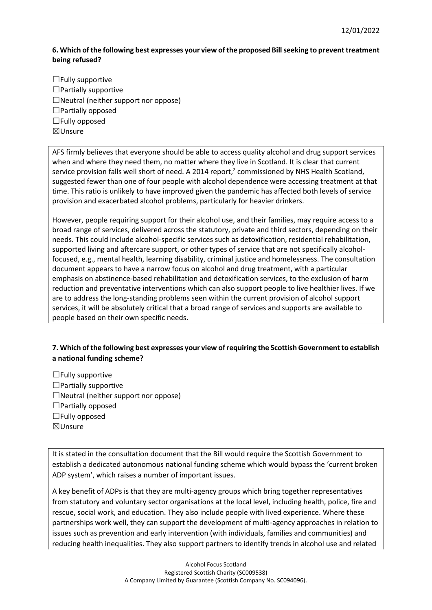## **6. Which of the following best expresses your view of the proposed Bill seeking to prevent treatment being refused?**

 $\Box$  Fully supportive ☐Partially supportive  $\Box$ Neutral (neither support nor oppose)  $\Box$ Partially opposed  $\Box$ Fully opposed ☒Unsure

AFS firmly believes that everyone should be able to access quality alcohol and drug support services when and where they need them, no matter where they live in Scotland. It is clear that current service provision falls well short of need. A 2014 report,<sup>2</sup> commissioned by NHS Health Scotland, suggested fewer than one of four people with alcohol dependence were accessing treatment at that time. This ratio is unlikely to have improved given the pandemic has affected both levels of service provision and exacerbated alcohol problems, particularly for heavier drinkers.

However, people requiring support for their alcohol use, and their families, may require access to a broad range of services, delivered across the statutory, private and third sectors, depending on their needs. This could include alcohol-specific services such as detoxification, residential rehabilitation, supported living and aftercare support, or other types of service that are not specifically alcoholfocused, e.g., mental health, learning disability, criminal justice and homelessness. The consultation document appears to have a narrow focus on alcohol and drug treatment, with a particular emphasis on abstinence-based rehabilitation and detoxification services, to the exclusion of harm reduction and preventative interventions which can also support people to live healthier lives. If we are to address the long-standing problems seen within the current provision of alcohol support services, it will be absolutely critical that a broad range of services and supports are available to people based on their own specific needs.

## **7. Which of the following best expresses your view of requiring the Scottish Government to establish a national funding scheme?**

- $\Box$  Fully supportive
- ☐Partially supportive
- $\Box$ Neutral (neither support nor oppose)
- $\Box$ Partially opposed
- ☐Fully opposed
- ☒Unsure

It is stated in the consultation document that the Bill would require the Scottish Government to establish a dedicated autonomous national funding scheme which would bypass the 'current broken ADP system', which raises a number of important issues.

A key benefit of ADPs is that they are multi-agency groups which bring together representatives from statutory and voluntary sector organisations at the local level, including health, police, fire and rescue, social work, and education. They also include people with lived experience. Where these partnerships work well, they can support the development of multi-agency approaches in relation to issues such as prevention and early intervention (with individuals, families and communities) and reducing health inequalities. They also support partners to identify trends in alcohol use and related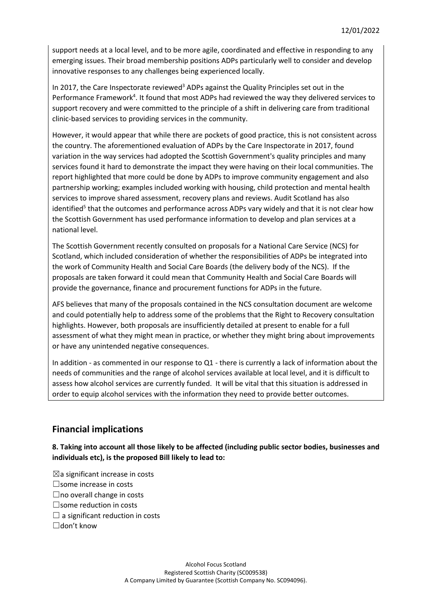support needs at a local level, and to be more agile, coordinated and effective in responding to any emerging issues. Their broad membership positions ADPs particularly well to consider and develop innovative responses to any challenges being experienced locally.

In 2017, the Care Inspectorate reviewed<sup>3</sup> ADPs against the Quality Principles set out in the Performance Framework<sup>4</sup>. It found that most ADPs had reviewed the way they delivered services to support recovery and were committed to the principle of a shift in delivering care from traditional clinic-based services to providing services in the community.

However, it would appear that while there are pockets of good practice, this is not consistent across the country. The aforementioned evaluation of ADPs by the Care Inspectorate in 2017, found variation in the way services had adopted the Scottish Government's quality principles and many services found it hard to demonstrate the impact they were having on their local communities. The report highlighted that more could be done by ADPs to improve community engagement and also partnership working; examples included working with housing, child protection and mental health services to improve shared assessment, recovery plans and reviews. Audit Scotland has also identified<sup>5</sup> that the outcomes and performance across ADPs vary widely and that it is not clear how the Scottish Government has used performance information to develop and plan services at a national level.

The Scottish Government recently consulted on proposals for a National Care Service (NCS) for Scotland, which included consideration of whether the responsibilities of ADPs be integrated into the work of Community Health and Social Care Boards (the delivery body of the NCS). If the proposals are taken forward it could mean that Community Health and Social Care Boards will provide the governance, finance and procurement functions for ADPs in the future.

AFS believes that many of the proposals contained in the NCS consultation document are welcome and could potentially help to address some of the problems that the Right to Recovery consultation highlights. However, both proposals are insufficiently detailed at present to enable for a full assessment of what they might mean in practice, or whether they might bring about improvements or have any unintended negative consequences.

In addition - as commented in our response to Q1 - there is currently a lack of information about the needs of communities and the range of alcohol services available at local level, and it is difficult to assess how alcohol services are currently funded. It will be vital that this situation is addressed in order to equip alcohol services with the information they need to provide better outcomes.

# **Financial implications**

**8. Taking into account all those likely to be affected (including public sector bodies, businesses and individuals etc), is the proposed Bill likely to lead to:**

- $\boxtimes$ a significant increase in costs
- ☐some increase in costs
- $\Box$ no overall change in costs
- ☐some reduction in costs
- $\Box$  a significant reduction in costs
- $\Box$ don't know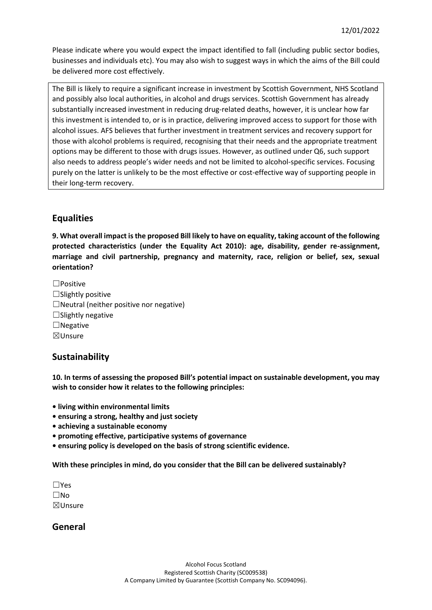Please indicate where you would expect the impact identified to fall (including public sector bodies, businesses and individuals etc). You may also wish to suggest ways in which the aims of the Bill could be delivered more cost effectively.

The Bill is likely to require a significant increase in investment by Scottish Government, NHS Scotland and possibly also local authorities, in alcohol and drugs services. Scottish Government has already substantially increased investment in reducing drug-related deaths, however, it is unclear how far this investment is intended to, or is in practice, delivering improved access to support for those with alcohol issues. AFS believes that further investment in treatment services and recovery support for those with alcohol problems is required, recognising that their needs and the appropriate treatment options may be different to those with drugs issues. However, as outlined under Q6, such support also needs to address people's wider needs and not be limited to alcohol-specific services. Focusing purely on the latter is unlikely to be the most effective or cost-effective way of supporting people in their long-term recovery.

## **Equalities**

**9. What overall impact is the proposed Bill likely to have on equality, taking account of the following protected characteristics (under the Equality Act 2010): age, disability, gender re-assignment, marriage and civil partnership, pregnancy and maternity, race, religion or belief, sex, sexual orientation?**

☐Positive  $\Box$ Slightly positive  $\Box$ Neutral (neither positive nor negative)  $\Box$ Slightly negative  $\Box$ Negative ☒Unsure

## **Sustainability**

**10. In terms of assessing the proposed Bill's potential impact on sustainable development, you may wish to consider how it relates to the following principles:**

- **living within environmental limits**
- **ensuring a strong, healthy and just society**
- **achieving a sustainable economy**
- **promoting effective, participative systems of governance**
- **ensuring policy is developed on the basis of strong scientific evidence.**

**With these principles in mind, do you consider that the Bill can be delivered sustainably?**

| l lYes             |
|--------------------|
| ∣ IN∩              |
| $\boxtimes$ Unsure |

## **General**